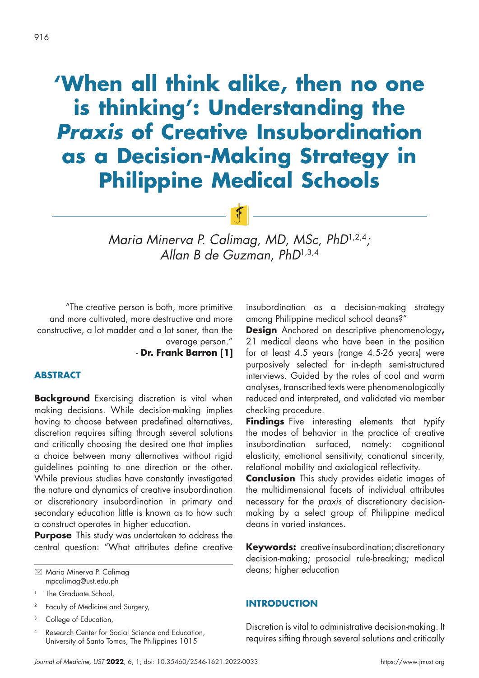# **'When all think alike, then no one is thinking': Understanding the Praxis of Creative Insubordination as a Decision-Making Strategy in Philippine Medical Schools**

*Maria Minerva P. Calimag, MD, MSc, PhD*1,2,4*; Allan B de Guzman, PhD*1,3,4

 $F$ 

"The creative person is both, more primitive and more cultivated, more destructive and more constructive, a lot madder and a lot saner, than the average person."

- **Dr. Frank Barron [1]**

# **ABSTRACT**

**Background** Exercising discretion is vital when making decisions. While decision-making implies having to choose between predefined alternatives, discretion requires sifting through several solutions and critically choosing the desired one that implies a choice between many alternatives without rigid guidelines pointing to one direction or the other. While previous studies have constantly investigated the nature and dynamics of creative insubordination or discretionary insubordination in primary and secondary education little is known as to how such a construct operates in higher education.

**Purpose** This study was undertaken to address the central question: "What attributes define creative

<sup>2</sup> Faculty of Medicine and Surgery,

Research Center for Social Science and Education, University of Santo Tomas, The Philippines 1015

insubordination as a decision-making strategy among Philippine medical school deans?"

**Design** Anchored on descriptive phenomenology**,** 21 medical deans who have been in the position for at least 4.5 years (range 4.5-26 years) were purposively selected for in-depth semi-structured interviews. Guided by the rules of cool and warm analyses, transcribed texts were phenomenologically reduced and interpreted, and validated via member checking procedure.

**Findings** Five interesting elements that typify the modes of behavior in the practice of creative insubordination surfaced, namely: cognitional elasticity, emotional sensitivity, conational sincerity, relational mobility and axiological reflectivity.

**Conclusion** This study provides eidetic images of the multidimensional facets of individual attributes necessary for the *praxis* of discretionary decisionmaking by a select group of Philippine medical deans in varied instances.

**Keywords:** creative insubordination; discretionary decision-making; prosocial rule-breaking; medical deans; higher education

# **INTRODUCTION**

Discretion is vital to administrative decision-making. It requires sifting through several solutions and critically

 Maria Minerva P. Calimag mpcalimag@ust.edu.ph

<sup>&</sup>lt;sup>1</sup> The Graduate School,

<sup>&</sup>lt;sup>3</sup> College of Education,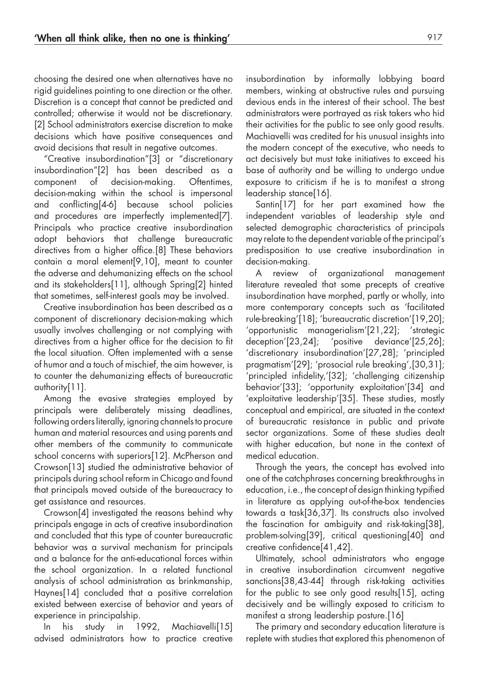choosing the desired one when alternatives have no rigid guidelines pointing to one direction or the other. Discretion is a concept that cannot be predicted and controlled; otherwise it would not be discretionary. [2] School administrators exercise discretion to make decisions which have positive consequences and avoid decisions that result in negative outcomes.

"Creative insubordination"[3] or "discretionary insubordination"[2] has been described as a component of decision-making. Oftentimes, decision-making within the school is impersonal and conflicting[4-6] because school policies and procedures are imperfectly implemented[7]. Principals who practice creative insubordination adopt behaviors that challenge bureaucratic directives from a higher office.[8] These behaviors contain a moral element[9,10], meant to counter the adverse and dehumanizing effects on the school and its stakeholders[11], although Spring[2] hinted that sometimes, self-interest goals may be involved.

Creative insubordination has been described as a component of discretionary decision-making which usually involves challenging or not complying with directives from a higher office for the decision to fit the local situation. Often implemented with a sense of humor and a touch of mischief, the aim however, is to counter the dehumanizing effects of bureaucratic authority[11].

Among the evasive strategies employed by principals were deliberately missing deadlines, following orders literally, ignoring channels to procure human and material resources and using parents and other members of the community to communicate school concerns with superiors[12]. McPherson and Crowson[13] studied the administrative behavior of principals during school reform in Chicago and found that principals moved outside of the bureaucracy to get assistance and resources.

Crowson[4] investigated the reasons behind why principals engage in acts of creative insubordination and concluded that this type of counter bureaucratic behavior was a survival mechanism for principals and a balance for the anti-educational forces within the school organization. In a related functional analysis of school administration as brinkmanship, Haynes[14] concluded that a positive correlation existed between exercise of behavior and years of experience in principalship.

In his study in 1992, Machiavelli[15] advised administrators how to practice creative insubordination by informally lobbying board members, winking at obstructive rules and pursuing devious ends in the interest of their school. The best administrators were portrayed as risk takers who hid their activities for the public to see only good results. Machiavelli was credited for his unusual insights into the modern concept of the executive, who needs to act decisively but must take initiatives to exceed his base of authority and be willing to undergo undue exposure to criticism if he is to manifest a strong leadership stance[16].

Santin[17] for her part examined how the independent variables of leadership style and selected demographic characteristics of principals may relate to the dependent variable of the principal's predisposition to use creative insubordination in decision-making.

A review of organizational management literature revealed that some precepts of creative insubordination have morphed, partly or wholly, into more contemporary concepts such as 'facilitated rule-breaking'[18]; 'bureaucratic discretion'[19,20]; 'opportunistic managerialism'[21,22]; 'strategic deception'[23,24]; 'positive deviance'[25,26]; 'discretionary insubordination'[27,28]; 'principled pragmatism'[29]; 'prosocial rule breaking',[30,31]; 'principled infidelity,'[32]; 'challenging citizenship behavior'[33]; 'opportunity exploitation'[34] and 'exploitative leadership'[35]. These studies, mostly conceptual and empirical, are situated in the context of bureaucratic resistance in public and private sector organizations. Some of these studies dealt with higher education, but none in the context of medical education.

Through the years, the concept has evolved into one of the catchphrases concerning breakthroughs in education, i.e., the concept of design thinking typified in literature as applying out-of-the-box tendencies towards a task[36,37]. Its constructs also involved the fascination for ambiguity and risk-taking[38], problem-solving[39], critical questioning[40] and creative confidence[41,42].

Ultimately, school administrators who engage in creative insubordination circumvent negative sanctions[38,43-44] through risk-taking activities for the public to see only good results[15], acting decisively and be willingly exposed to criticism to manifest a strong leadership posture.[16]

The primary and secondary education literature is replete with studies that explored this phenomenon of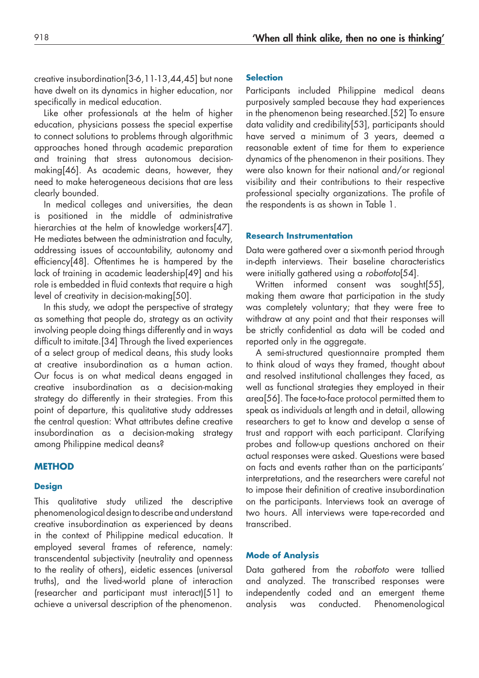creative insubordination[3-6,11-13,44,45] but none have dwelt on its dynamics in higher education, nor specifically in medical education.

Like other professionals at the helm of higher education, physicians possess the special expertise to connect solutions to problems through algorithmic approaches honed through academic preparation and training that stress autonomous decisionmaking[46]. As academic deans, however, they need to make heterogeneous decisions that are less clearly bounded.

In medical colleges and universities, the dean is positioned in the middle of administrative hierarchies at the helm of knowledge workers[47]. He mediates between the administration and faculty, addressing issues of accountability, autonomy and efficiency[48]. Oftentimes he is hampered by the lack of training in academic leadership[49] and his role is embedded in fluid contexts that require a high level of creativity in decision-making[50].

In this study, we adopt the perspective of strategy as something that people do, strategy as an activity involving people doing things differently and in ways difficult to imitate.[34] Through the lived experiences of a select group of medical deans, this study looks at creative insubordination as a human action. Our focus is on what medical deans engaged in creative insubordination as a decision-making strategy do differently in their strategies. From this point of departure, this qualitative study addresses the central question: What attributes define creative insubordination as a decision-making strategy among Philippine medical deans?

# **METHOD**

#### **Design**

This qualitative study utilized the descriptive phenomenological design to describe and understand creative insubordination as experienced by deans in the context of Philippine medical education. It employed several frames of reference, namely: transcendental subjectivity (neutrality and openness to the reality of others), eidetic essences (universal truths), and the lived-world plane of interaction (researcher and participant must interact)[51] to achieve a universal description of the phenomenon.

#### **Selection**

Participants included Philippine medical deans purposively sampled because they had experiences in the phenomenon being researched.[52] To ensure data validity and credibility[53], participants should have served a minimum of 3 years, deemed a reasonable extent of time for them to experience dynamics of the phenomenon in their positions. They were also known for their national and/or regional visibility and their contributions to their respective professional specialty organizations. The profile of the respondents is as shown in Table 1.

### **Research Instrumentation**

Data were gathered over a six-month period through in-depth interviews. Their baseline characteristics were initially gathered using a *robotfoto*[54].

Written informed consent was sought[55], making them aware that participation in the study was completely voluntary; that they were free to withdraw at any point and that their responses will be strictly confidential as data will be coded and reported only in the aggregate.

A semi-structured questionnaire prompted them to think aloud of ways they framed, thought about and resolved institutional challenges they faced, as well as functional strategies they employed in their area[56]. The face-to-face protocol permitted them to speak as individuals at length and in detail, allowing researchers to get to know and develop a sense of trust and rapport with each participant. Clarifying probes and follow-up questions anchored on their actual responses were asked. Questions were based on facts and events rather than on the participants' interpretations, and the researchers were careful not to impose their definition of creative insubordination on the participants. Interviews took an average of two hours. All interviews were tape-recorded and transcribed.

#### **Mode of Analysis**

Data gathered from the *robotfoto* were tallied and analyzed. The transcribed responses were independently coded and an emergent theme analysis was conducted. Phenomenological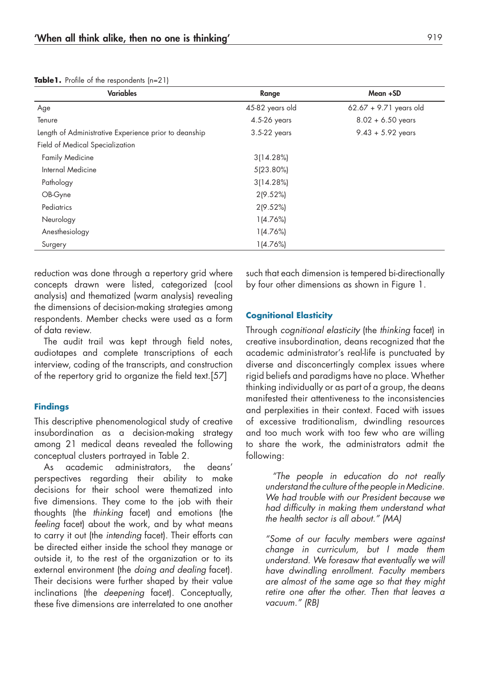**Table1.** Profile of the respondents (n=21)

| <b>Variables</b>                                      | Range           | Mean +SD                 |
|-------------------------------------------------------|-----------------|--------------------------|
| Age                                                   | 45-82 years old | $62.67 + 9.71$ years old |
| Tenure                                                | 4.5-26 years    | $8.02 + 6.50$ years      |
| Length of Administrative Experience prior to deanship | 3.5-22 years    | $9.43 + 5.92$ years      |
| Field of Medical Specialization                       |                 |                          |
| <b>Family Medicine</b>                                | 3(14.28%)       |                          |
| Internal Medicine                                     | 5(23.80%)       |                          |
| Pathology                                             | 3(14.28%)       |                          |
| OB-Gyne                                               | 2(9.52%)        |                          |
| Pediatrics                                            | 2(9.52%)        |                          |
| Neurology                                             | 1(4.76%)        |                          |
| Anesthesiology                                        | 1(4.76%)        |                          |
| Surgery                                               | 1(4.76%)        |                          |

reduction was done through a repertory grid where concepts drawn were listed, categorized (cool analysis) and thematized (warm analysis) revealing the dimensions of decision-making strategies among respondents. Member checks were used as a form of data review.

The audit trail was kept through field notes, audiotapes and complete transcriptions of each interview, coding of the transcripts, and construction of the repertory grid to organize the field text.[57]

## **Findings**

This descriptive phenomenological study of creative insubordination as a decision-making strategy among 21 medical deans revealed the following conceptual clusters portrayed in Table 2.

As academic administrators, the deans' perspectives regarding their ability to make decisions for their school were thematized into five dimensions. They come to the job with their thoughts (the *thinking* facet) and emotions (the *feeling* facet) about the work, and by what means to carry it out (the *intending* facet). Their efforts can be directed either inside the school they manage or outside it, to the rest of the organization or to its external environment (the *doing and dealing* facet). Their decisions were further shaped by their value inclinations (the *deepening* facet). Conceptually, these five dimensions are interrelated to one another

such that each dimension is tempered bi-directionally by four other dimensions as shown in Figure 1.

## **Cognitional Elasticity**

Through *cognitional elasticity* (the *thinking* facet) in creative insubordination, deans recognized that the academic administrator's real-life is punctuated by diverse and disconcertingly complex issues where rigid beliefs and paradigms have no place. Whether thinking individually or as part of a group, the deans manifested their attentiveness to the inconsistencies and perplexities in their context. Faced with issues of excessive traditionalism, dwindling resources and too much work with too few who are willing to share the work, the administrators admit the following:

 *"The people in education do not really understand the culture of the people in Medicine. We had trouble with our President because we had difficulty in making them understand what the health sector is all about." (MA)*

*"Some of our faculty members were against change in curriculum, but I made them understand. We foresaw that eventually we will have dwindling enrollment. Faculty members are almost of the same age so that they might retire one after the other. Then that leaves a vacuum." (RB)*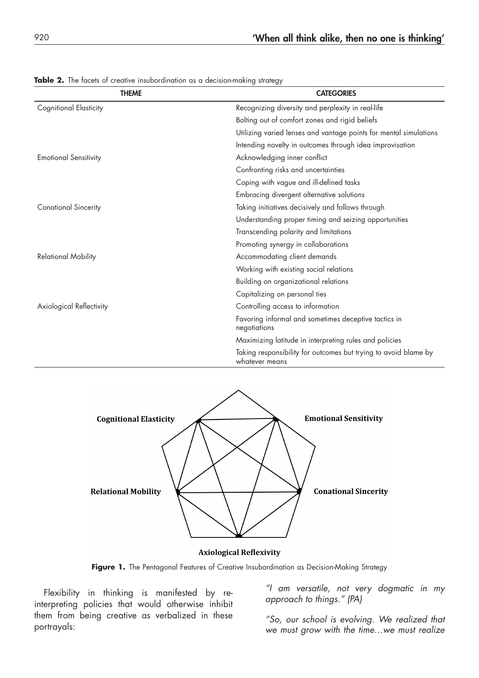| <b>THEME</b>                  | <b>CATEGORIES</b>                                                                 |  |
|-------------------------------|-----------------------------------------------------------------------------------|--|
| <b>Cognitional Elasticity</b> | Recognizing diversity and perplexity in real-life                                 |  |
|                               | Bolting out of comfort zones and rigid beliefs                                    |  |
|                               | Utilizing varied lenses and vantage points for mental simulations                 |  |
|                               | Intending novelty in outcomes through idea improvisation                          |  |
| <b>Emotional Sensitivity</b>  | Acknowledging inner conflict                                                      |  |
|                               | Confronting risks and uncertainties                                               |  |
|                               | Coping with vague and ill-defined tasks                                           |  |
|                               | Embracing divergent alternative solutions                                         |  |
| <b>Conational Sincerity</b>   | Taking initiatives decisively and follows through                                 |  |
|                               | Understanding proper timing and seizing opportunities                             |  |
|                               | Transcending polarity and limitations                                             |  |
|                               | Promoting synergy in collaborations                                               |  |
| <b>Relational Mobility</b>    | Accommodating client demands                                                      |  |
|                               | Working with existing social relations                                            |  |
|                               | Building on organizational relations                                              |  |
|                               | Capitalizing on personal ties                                                     |  |
| Axiological Reflectivity      | Controlling access to information                                                 |  |
|                               | Favoring informal and sometimes deceptive tactics in<br>negotiations              |  |
|                               | Maximizing latitude in interpreting rules and policies                            |  |
|                               | Taking responsibility for outcomes but trying to avoid blame by<br>whatever means |  |

Table 2. The facets of creative insubordination as a decision-making strategy



#### **Axiological Reflexivity**

Figure 1. The Pentagonal Features of Creative Insubordination as Decision-Making Strategy

Flexibility in thinking is manifested by reinterpreting policies that would otherwise inhibit them from being creative as verbalized in these portrayals:

*"I am versatile, not very dogmatic in my approach to things." (PA)*

*"So, our school is evolving. We realized that we must grow with the time…we must realize*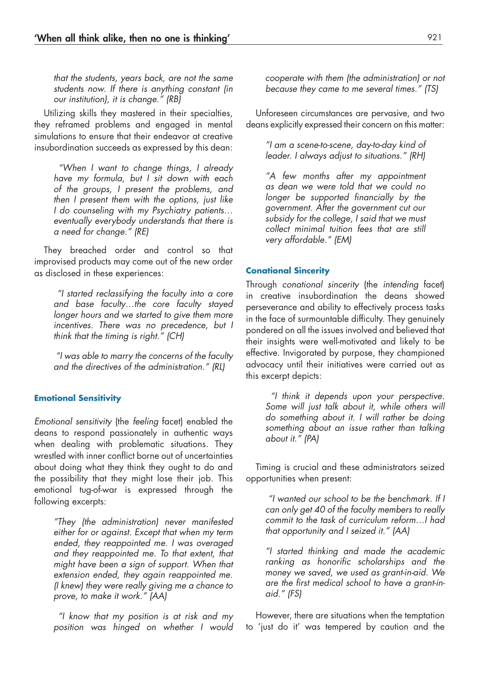*that the students, years back, are not the same students now. If there is anything constant (in our institution), it is change." (RB)*

Utilizing skills they mastered in their specialties, they reframed problems and engaged in mental simulations to ensure that their endeavor at creative insubordination succeeds as expressed by this dean:

 *"When I want to change things, I already have my formula, but I sit down with each of the groups, I present the problems, and then I present them with the options, just like I do counseling with my Psychiatry patients… eventually everybody understands that there is a need for change." (RE)*

They breached order and control so that improvised products may come out of the new order as disclosed in these experiences:

 *"I started reclassifying the faculty into a core and base faculty…the core faculty stayed longer hours and we started to give them more incentives. There was no precedence, but I think that the timing is right." (CH)*

 *"I was able to marry the concerns of the faculty and the directives of the administration." (RL)*

# **Emotional Sensitivity**

*Emotional sensitivity* (the *feeling* facet) enabled the deans to respond passionately in authentic ways when dealing with problematic situations. They wrestled with inner conflict borne out of uncertainties about doing what they think they ought to do and the possibility that they might lose their job. This emotional tug-of-war is expressed through the following excerpts:

*"They (the administration) never manifested either for or against. Except that when my term ended, they reappointed me. I was overaged and they reappointed me. To that extent, that might have been a sign of support. When that extension ended, they again reappointed me. (I knew) they were really giving me a chance to prove, to make it work." (AA)*

 *"I know that my position is at risk and my position was hinged on whether I would*  *cooperate with them (the administration) or not because they came to me several times." (TS)*

Unforeseen circumstances are pervasive, and two deans explicitly expressed their concern on this matter:

*"I am a scene-to-scene, day-to-day kind of leader. I always adjust to situations." (RH)*

*"A few months after my appointment as dean we were told that we could no longer be supported financially by the government. After the government cut our subsidy for the college, I said that we must collect minimal tuition fees that are still very affordable." (EM)*

#### **Conational Sincerity**

Through *conational sincerity* (the *intending* facet) in creative insubordination the deans showed perseverance and ability to effectively process tasks in the face of surmountable difficulty. They genuinely pondered on all the issues involved and believed that their insights were well-motivated and likely to be effective. Invigorated by purpose, they championed advocacy until their initiatives were carried out as this excerpt depicts:

 *"I think it depends upon your perspective. Some will just talk about it, while others will do something about it. I will rather be doing something about an issue rather than talking about it." (PA)*

Timing is crucial and these administrators seized opportunities when present:

 *"I wanted our school to be the benchmark. If I can only get 40 of the faculty members to really commit to the task of curriculum reform…I had that opportunity and I seized it." (AA)*

*"I started thinking and made the academic ranking as honorific scholarships and the money we saved, we used as grant-in-aid. We are the first medical school to have a grant-inaid." (FS)*

However, there are situations when the temptation to 'just do it' was tempered by caution and the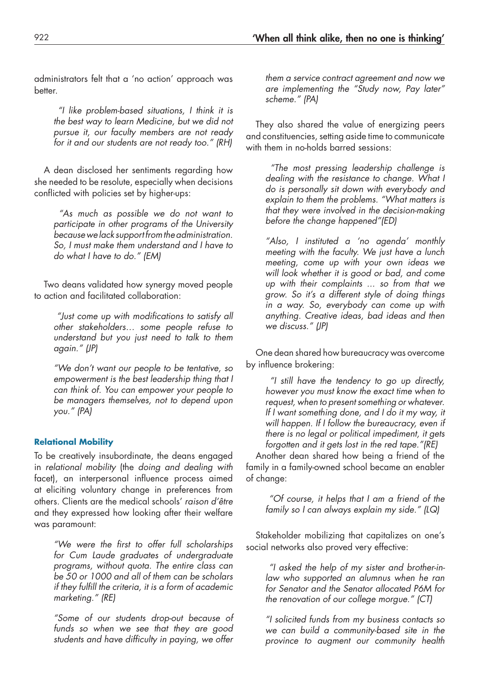administrators felt that a 'no action' approach was better.

 *"I like problem-based situations, I think it is the best way to learn Medicine, but we did not pursue it, our faculty members are not ready for it and our students are not ready too." (RH)*

A dean disclosed her sentiments regarding how she needed to be resolute, especially when decisions conflicted with policies set by higher-ups:

 *"As much as possible we do not want to participate in other programs of the University because we lack support from the administration. So, I must make them understand and I have to do what I have to do." (EM)*

Two deans validated how synergy moved people to action and facilitated collaboration:

 *"Just come up with modifications to satisfy all other stakeholders… some people refuse to understand but you just need to talk to them again." (JP)*

*"We don't want our people to be tentative, so empowerment is the best leadership thing that I can think of. You can empower your people to be managers themselves, not to depend upon you." (PA)*

### **Relational Mobility**

To be creatively insubordinate, the deans engaged in *relational mobility* (the *doing and dealing with* facet), an interpersonal influence process aimed at eliciting voluntary change in preferences from others. Clients are the medical schools' *raison d'être* and they expressed how looking after their welfare was paramount:

*"We were the first to offer full scholarships for Cum Laude graduates of undergraduate programs, without quota. The entire class can be 50 or 1000 and all of them can be scholars if they fulfill the criteria, it is a form of academic marketing." (RE)*

*"Some of our students drop-out because of funds so when we see that they are good students and have difficulty in paying, we offer* 

*them a service contract agreement and now we are implementing the "Study now, Pay later" scheme." (PA)*

They also shared the value of energizing peers and constituencies, setting aside time to communicate with them in no-holds barred sessions:

 *"The most pressing leadership challenge is dealing with the resistance to change. What I do is personally sit down with everybody and explain to them the problems. "What matters is that they were involved in the decision-making before the change happened"(ED)*

*"Also, I instituted a 'no agenda' monthly meeting with the faculty. We just have a lunch meeting, come up with your own ideas we will look whether it is good or bad, and come up with their complaints ... so from that we grow. So it's a different style of doing things in a way. So, everybody can come up with anything. Creative ideas, bad ideas and then we discuss." (JP)*

One dean shared how bureaucracy was overcome by influence brokering:

 *"I still have the tendency to go up directly, however you must know the exact time when to request, when to present something or whatever. If I want something done, and I do it my way, it will happen. If I follow the bureaucracy, even if there is no legal or political impediment, it gets forgotten and it gets lost in the red tape."(RE)*

Another dean shared how being a friend of the family in a family-owned school became an enabler of change:

 *"Of course, it helps that I am a friend of the family so I can always explain my side." (LQ)*

Stakeholder mobilizing that capitalizes on one's social networks also proved very effective:

 *"I asked the help of my sister and brother-inlaw who supported an alumnus when he ran for Senator and the Senator allocated P6M for the renovation of our college morgue." (CT)*

*"I solicited funds from my business contacts so we can build a community-based site in the province to augment our community health*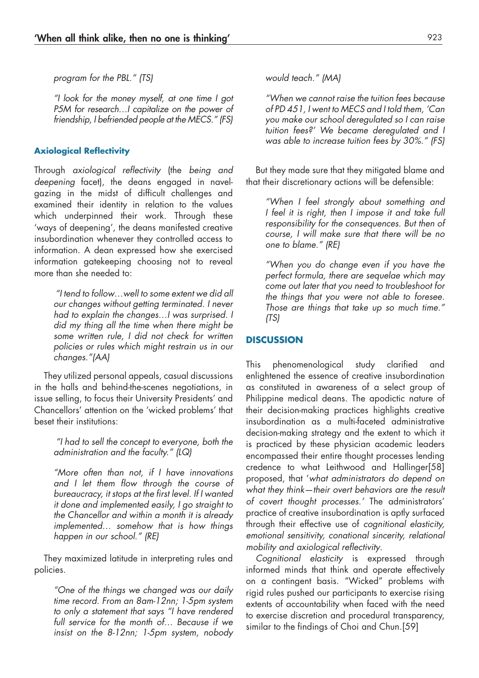*program for the PBL." (TS)*

*"I look for the money myself, at one time I got P5M for research…I capitalize on the power of friendship, I befriended people at the MECS." (FS)*

# **Axiological Reflectivity**

Through *axiological reflectivity* (the *being and deepening* facet), the deans engaged in navelgazing in the midst of difficult challenges and examined their identity in relation to the values which underpinned their work. Through these 'ways of deepening', the deans manifested creative insubordination whenever they controlled access to information. A dean expressed how she exercised information gatekeeping choosing not to reveal more than she needed to:

 *"I tend to follow…well to some extent we did all our changes without getting terminated. I never had to explain the changes…I was surprised. I did my thing all the time when there might be some written rule, I did not check for written policies or rules which might restrain us in our changes."(AA)*

They utilized personal appeals, casual discussions in the halls and behind-the-scenes negotiations, in issue selling, to focus their University Presidents' and Chancellors' attention on the 'wicked problems' that beset their institutions:

 *"I had to sell the concept to everyone, both the administration and the faculty." (LQ)*

*"More often than not, if I have innovations and I let them flow through the course of bureaucracy, it stops at the first level. If I wanted it done and implemented easily, I go straight to the Chancellor and within a month it is already implemented… somehow that is how things happen in our school." (RE)*

They maximized latitude in interpreting rules and policies.

*"One of the things we changed was our daily time record. From an 8am-12nn; 1-5pm system to only a statement that says "I have rendered full service for the month of… Because if we insist on the 8-12nn; 1-5pm system, nobody*  *would teach." (MA)*

*"When we cannot raise the tuition fees because of PD 451, I went to MECS and I told them, 'Can you make our school deregulated so I can raise tuition fees?' We became deregulated and I was able to increase tuition fees by 30%." (FS)*

But they made sure that they mitigated blame and that their discretionary actions will be defensible:

*"When I feel strongly about something and I feel it is right, then I impose it and take full responsibility for the consequences. But then of course, I will make sure that there will be no one to blame." (RE)*

*"When you do change even if you have the perfect formula, there are sequelae which may come out later that you need to troubleshoot for the things that you were not able to foresee. Those are things that take up so much time." (TS)*

# **DISCUSSION**

This phenomenological study clarified and enlightened the essence of creative insubordination as constituted in awareness of a select group of Philippine medical deans. The apodictic nature of their decision-making practices highlights creative insubordination as a multi-faceted administrative decision-making strategy and the extent to which it is practiced by these physician academic leaders encompassed their entire thought processes lending credence to what Leithwood and Hallinger[58] proposed, that '*what administrators do depend on what they think—their overt behaviors are the result of covert thought processes.'* The administrators' practice of creative insubordination is aptly surfaced through their effective use of *cognitional elasticity, emotional sensitivity, conational sincerity, relational mobility and axiological reflectivity*.

*Cognitional elasticity* is expressed through informed minds that think and operate effectively on a contingent basis. "Wicked" problems with rigid rules pushed our participants to exercise rising extents of accountability when faced with the need to exercise discretion and procedural transparency, similar to the findings of Choi and Chun.[59]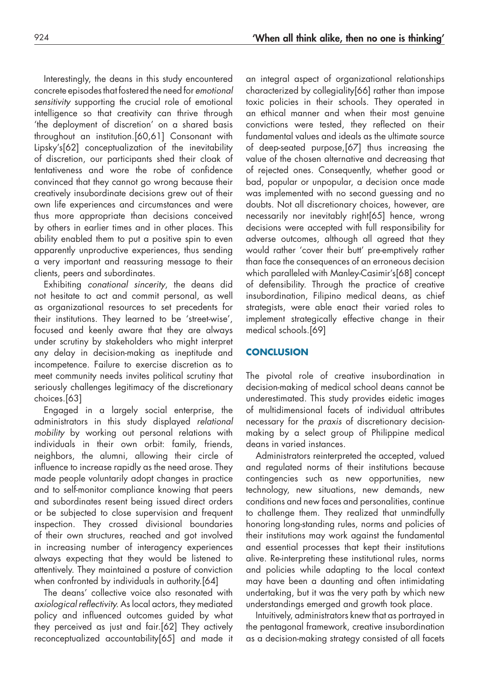Interestingly, the deans in this study encountered concrete episodes that fostered the need for *emotional sensitivity* supporting the crucial role of emotional intelligence so that creativity can thrive through 'the deployment of discretion' on a shared basis throughout an institution.[60,61] Consonant with Lipsky's[62] conceptualization of the inevitability of discretion, our participants shed their cloak of tentativeness and wore the robe of confidence convinced that they cannot go wrong because their creatively insubordinate decisions grew out of their own life experiences and circumstances and were thus more appropriate than decisions conceived by others in earlier times and in other places. This ability enabled them to put a positive spin to even apparently unproductive experiences, thus sending a very important and reassuring message to their clients, peers and subordinates.

Exhibiting *conational sincerity*, the deans did not hesitate to act and commit personal, as well as organizational resources to set precedents for their institutions. They learned to be 'street-wise', focused and keenly aware that they are always under scrutiny by stakeholders who might interpret any delay in decision-making as ineptitude and incompetence. Failure to exercise discretion as to meet community needs invites political scrutiny that seriously challenges legitimacy of the discretionary choices.[63]

Engaged in a largely social enterprise, the administrators in this study displayed *relational mobility* by working out personal relations with individuals in their own orbit: family, friends, neighbors, the alumni, allowing their circle of influence to increase rapidly as the need arose. They made people voluntarily adopt changes in practice and to self-monitor compliance knowing that peers and subordinates resent being issued direct orders or be subjected to close supervision and frequent inspection. They crossed divisional boundaries of their own structures, reached and got involved in increasing number of interagency experiences always expecting that they would be listened to attentively. They maintained a posture of conviction when confronted by individuals in authority.[64]

The deans' collective voice also resonated with *axiological reflectivity.* As local actors, they mediated policy and influenced outcomes guided by what they perceived as just and fair.[62] They actively reconceptualized accountability[65] and made it

an integral aspect of organizational relationships characterized by collegiality[66] rather than impose toxic policies in their schools. They operated in an ethical manner and when their most genuine convictions were tested, they reflected on their fundamental values and ideals as the ultimate source of deep-seated purpose,[67] thus increasing the value of the chosen alternative and decreasing that of rejected ones. Consequently, whether good or bad, popular or unpopular, a decision once made was implemented with no second guessing and no doubts. Not all discretionary choices, however, are necessarily nor inevitably right[65] hence, wrong decisions were accepted with full responsibility for adverse outcomes, although all agreed that they would rather 'cover their butt' pre-emptively rather than face the consequences of an erroneous decision which paralleled with Manley-Casimir's[68] concept of defensibility. Through the practice of creative insubordination, Filipino medical deans, as chief strategists, were able enact their varied roles to implement strategically effective change in their medical schools.[69]

# **CONCLUSION**

The pivotal role of creative insubordination in decision-making of medical school deans cannot be underestimated. This study provides eidetic images of multidimensional facets of individual attributes necessary for the *praxis* of discretionary decisionmaking by a select group of Philippine medical deans in varied instances.

Administrators reinterpreted the accepted, valued and regulated norms of their institutions because contingencies such as new opportunities, new technology, new situations, new demands, new conditions and new faces and personalities, continue to challenge them. They realized that unmindfully honoring long-standing rules, norms and policies of their institutions may work against the fundamental and essential processes that kept their institutions alive. Re-interpreting these institutional rules, norms and policies while adapting to the local context may have been a daunting and often intimidating undertaking, but it was the very path by which new understandings emerged and growth took place.

Intuitively, administrators knew that as portrayed in the pentagonal framework, creative insubordination as a decision-making strategy consisted of all facets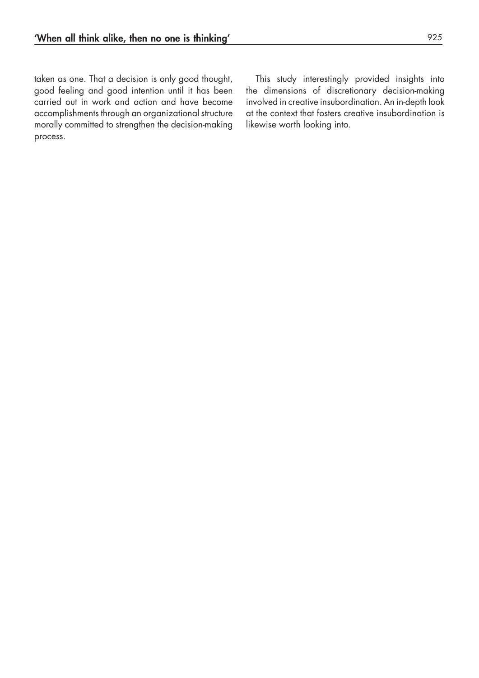taken as one. That a decision is only good thought, good feeling and good intention until it has been carried out in work and action and have become accomplishments through an organizational structure morally committed to strengthen the decision-making process.

This study interestingly provided insights into the dimensions of discretionary decision-making involved in creative insubordination. An in-depth look at the context that fosters creative insubordination is likewise worth looking into.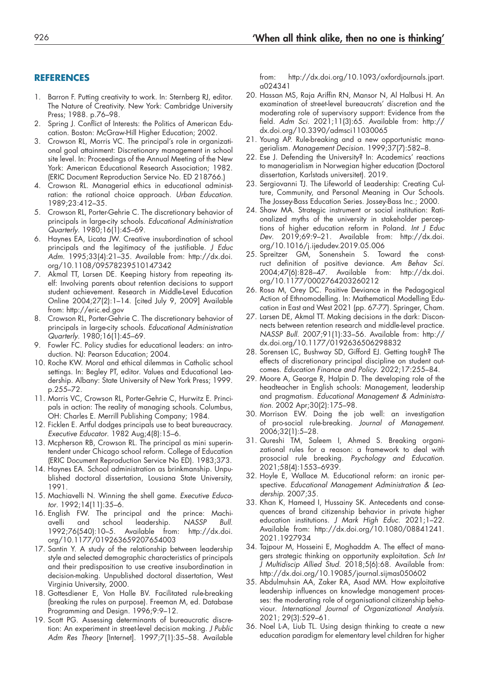## **REFERENCES**

- 1. Barron F. Putting creativity to work. In: Sternberg RJ, editor. The Nature of Creativity. New York: Cambridge University Press; 1988. p.76–98.
- 2. Spring J. Conflict of Interests: the Politics of American Education. Boston: McGraw-Hill Higher Education; 2002.
- 3. Crowson RL, Morris VC. The principal's role in organizational goal attainment: Discretionary management in school site level. In: Proceedings of the Annual Meeting of the New York: American Educational Research Association; 1982. (ERIC Document Reproduction Service No. ED 218766.)
- 4. Crowson RL. Managerial ethics in educational administration: the rational choice approach. *Urban Education*. 1989;23:412–35.
- 5. Crowson RL, Porter-Gehrie C. The discretionary behavior of principals in large-city schools. *Educational Administration Quarterly*. 1980;16(1):45–69.
- 6. Haynes EA, Licata JW. Creative insubordination of school principals and the legitimacy of the justifiable. *J Educ Adm*. 1995;33(4):21–35. Available from: [http://dx.doi.](http://dx.doi.org/10.1108/09578239510147342) [org/10.1108/09578239510147342](http://dx.doi.org/10.1108/09578239510147342)
- 7. Akmal TT, Larsen DE. Keeping history from repeating itself: Involving parents about retention decisions to support student achievement. Research in Middle-Level Education Online 2004;27(2):1–14. [cited July 9, 2009] Available from: [http://eric.ed.gov](http://eric.ed.gov/)
- 8. Crowson RL, Porter-Gehrie C. The discretionary behavior of principals in large-city schools. *Educational Administration Quarterly*. 1980;16(1):45–69.
- 9. Fowler FC. Policy studies for educational leaders: an introduction. NJ: Pearson Education; 2004.
- 10. Roche KW. Moral and ethical dilemmas in Catholic school settings. In: Begley PT, editor. Values and Educational Leadership. Albany: State University of New York Press; 1999. p.255–72.
- 11. Morris VC, Crowson RL, Porter-Gehrie C, Hurwitz E. Principals in action: The reality of managing schools. Columbus, OH: Charles E. Merrill Publishing Company; 1984.
- 12. Ficklen E. Artful dodges principals use to beat bureaucracy. *Executive Educator*. 1982 Aug;4(8):15–6.
- 13. Mcpherson RB, Crowson RL. The principal as mini superintendent under Chicago school reform. College of Education (ERIC Document Reproduction Service No ED). 1983;373.
- 14. Haynes EA. School administration as brinkmanship. Unpublished doctoral dissertation, Lousiana State University, 1991.
- 15. Machiavelli N. Winning the shell game. *Executive Educator*. 1992;14(11):35–6.
- 16. English FW. The principal and the prince: Machiavelli and school leadership. *NASSP Bull*. 1992;76(540):10–5. Available from: [http://dx.doi.](http://dx.doi.org/10.1177/019263659207654003) [org/10.1177/019263659207654003](http://dx.doi.org/10.1177/019263659207654003)
- 17. Santin Y. A study of the relationship between leadership style and selected demographic characteristics of principals and their predisposition to use creative insubordination in decision-making. Unpublished doctoral dissertation, West Virginia University, 2000.
- 18. Gottesdiener E, Von Halle BV. Facilitated rule-breaking (breaking the rules on purpose). Freeman M, ed. Database Programming and Design. 1996;9:9–12.
- 19. Scott PG. Assessing determinants of bureaucratic discretion: An experiment in street-level decision making. *J Public Adm Res Theory* [Internet]. 1997;7(1):35–58. Available

from: [http://dx.doi.org/10.1093/oxfordjournals.jpart.](http://dx.doi.org/10.1093/oxfordjournals.jpart.a024341) [a024341](http://dx.doi.org/10.1093/oxfordjournals.jpart.a024341)

- 20. Hassan MS, Raja Ariffin RN, Mansor N, Al Halbusi H. An examination of street-level bureaucrats' discretion and the moderating role of supervisory support: Evidence from the field. *Adm Sci*. 2021;11(3):65. Available from: [http://](http://dx.doi.org/10.3390/admsci11030065) [dx.doi.org/10.3390/admsci11030065](http://dx.doi.org/10.3390/admsci11030065)
- 21. Young AP. Rule-breaking and a new opportunistic managerialism. *Management Decision*. 1999;37(7):582–8.
- 22. Ese J. Defending the University? In: Academics' reactions to managerialism in Norwegian higher education (Doctoral dissertation, Karlstads universitet). 2019.
- 23. Sergiovanni TJ. The Lifeworld of Leadership: Creating Culture, Community, and Personal Meaning in Our Schools. The Jossey-Bass Education Series. Jossey-Bass Inc.; 2000.
- 24. Shaw MA. Strategic instrument or social institution: Rationalized myths of the university in stakeholder perceptions of higher education reform in Poland. *Int J Educ Dev*. 2019;69:9–21. Available from: [http://dx.doi.](http://dx.doi.org/10.1016/j.ijedudev.2019.05.006) [org/10.1016/j.ijedudev.2019.05.006](http://dx.doi.org/10.1016/j.ijedudev.2019.05.006)
- 25. Spreitzer GM, Sonenshein S. Toward the construct definition of positive deviance. *Am Behav Sci*. 2004;47(6):828–47. Available from: [http://dx.doi.](http://dx.doi.org/10.1177/0002764203260212) [org/10.1177/0002764203260212](http://dx.doi.org/10.1177/0002764203260212)
- 26. Rosa M, Orey DC. Positive Deviance in the Pedagogical Action of Ethnomodelling. In: Mathematical Modelling Education in East and West 2021 (pp. 67-77). Springer, Cham.
- 27. Larsen DE, Akmal TT. Making decisions in the dark: Disconnects between retention research and middle-level practice. *NASSP Bull*. 2007;91(1):33–56. Available from: [http://](http://dx.doi.org/10.1177/0192636506298832) [dx.doi.org/10.1177/0192636506298832](http://dx.doi.org/10.1177/0192636506298832)
- 28. Sorensen LC, Bushway SD, Gifford EJ. Getting tough? The effects of discretionary principal discipline on student outcomes. *Education Finance and Policy*. 2022;17:255–84.
- 29. Moore A, George R, Halpin D. The developing role of the headteacher in English schools: Management, leadership and pragmatism. *Educational Management & Administration.* 2002 Apr;30(2):175–98.
- 30. Morrison EW. Doing the job well: an investigation of pro-social rule-breaking. *Journal of Management*. 2006;32(1):5–28.
- 31. Qureshi TM, Saleem I, Ahmed S. Breaking organizational rules for a reason: a framework to deal with prosocial rule breaking. *Psychology and Education*. 2021;58(4):1553–6939.
- 32. Hoyle E, Wallace M. Educational reform: an ironic perspective. *Educational Management Administration & Leadership*. 2007;35.
- 33. Khan K, Hameed I, Hussainy SK. Antecedents and consequences of brand citizenship behavior in private higher education institutions. *J Mark High Educ*. 2021;1–22. Available from: [http://dx.doi.org/10.1080/08841241.](http://dx.doi.org/10.1080/08841241.2021.1927934) [2021.1927934](http://dx.doi.org/10.1080/08841241.2021.1927934)
- 34. Tajpour M, Hosseini E, Moghaddm A. The effect of managers strategic thinking on opportunity exploitation. *Sch Int J Multidiscip Allied Stud*. 2018;5(6):68. Available from: <http://dx.doi.org/10.19085/journal.sijmas050602>
- 35. Abdulmuhsin AA, Zaker RA, Asad MM. How exploitative leadership influences on knowledge management processes: the moderating role of organisational citizenship behaviour. *International Journal of Organizational Analysis*. 2021; 29(3):529–61.
- 36. Noel L-A, Liub TL. Using design thinking to create a new education paradigm for elementary level children for higher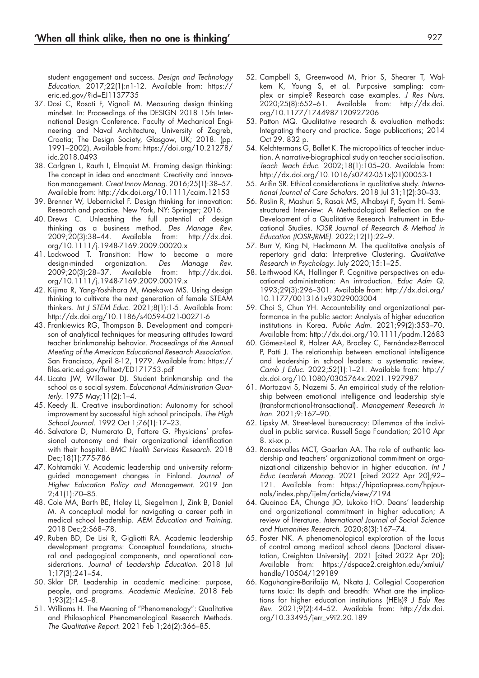student engagement and success. *Design and Technology Education*. 2017;22(1):n1-12. Available from: [https://](https://eric.ed.gov/?id=EJ1137735) [eric.ed.gov/?id=EJ1137735](https://eric.ed.gov/?id=EJ1137735)

- 37. Dosi C, Rosati F, Vignoli M. Measuring design thinking mindset. In: Proceedings of the DESIGN 2018 15th International Design Conference. Faculty of Mechanical Engineering and Naval Architecture, University of Zagreb, Croatia; The Design Society, Glasgow, UK; 2018. (pp. 1991–2002). Available from: [https://doi.org/10.21278/](https://doi.org/10.21278/idc.2018.0493) [idc.2018.0493](https://doi.org/10.21278/idc.2018.0493)
- 38. Carlgren L, Rauth I, Elmquist M. Framing design thinking: The concept in idea and enactment: Creativity and innovation management. *Creat Innov Manag*. 2016;25(1):38–57. Available from:<http://dx.doi.org/10.1111/caim.12153>
- 39. Brenner W, Uebernickel F. Design thinking for innovation: Research and practice. New York, NY: Springer; 2016.
- 40. Drews C. Unleashing the full potential of design thinking as a business method. *Des Manage Rev*. 2009;20(3):38–44. Available from: [http://dx.doi.](http://dx.doi.org/10.1111/j.1948-7169.2009.00020.x) [org/10.1111/j.1948-7169.2009.00020.x](http://dx.doi.org/10.1111/j.1948-7169.2009.00020.x)
- 41. Lockwood T. Transition: How to become a more design-minded organization. *Des Manage Rev*. 2009;20(3):28–37. Available from: [http://dx.doi.](http://dx.doi.org/10.1111/j.1948-7169.2009.00019.x) [org/10.1111/j.1948-7169.2009.00019.x](http://dx.doi.org/10.1111/j.1948-7169.2009.00019.x)
- 42. Kijima R, Yang-Yoshihara M, Maekawa MS. Using design thinking to cultivate the next generation of female STEAM thinkers. *Int J STEM Educ*. 2021;8(1):1-5. Available from: <http://dx.doi.org/10.1186/s40594-021-00271-6>
- 43. Frankiewics RG, Thompson B. Development and comparison of analytical techniques for measuring attitudes toward teacher brinkmanship behavior. *Proceedings of the Annual Meeting of the American Educational Research Association.* San Francisco, April 8-12, 1979. Available from: [https://](https://files.eric.ed.gov/fulltext/ED171753.pdf) [files.eric.ed.gov/fulltext/ED171753.pdf](https://files.eric.ed.gov/fulltext/ED171753.pdf)
- 44. Licata JW, Willower DJ. Student brinkmanship and the school as a social system. *Educational Administration Quarterly*. 1975 May;11(2):1–4.
- 45. Keedy JL. Creative insubordination: Autonomy for school improvement by successful high school principals. *The High School Journal*. 1992 Oct 1;76(1):17–23.
- 46. Salvatore D, Numerato D, Fattore G. Physicians' professional autonomy and their organizational identification with their hospital. *BMC Health Services Research*. 2018 Dec;18(1):775-786
- 47. Kohtamäki V. Academic leadership and university reformguided management changes in Finland. *Journal of Higher Education Policy and Management*. 2019 Jan 2;41(1):70–85.
- 48. Cole MA, Barth BE, Haley LL, Siegelman J, Zink B, Daniel M. A conceptual model for navigating a career path in medical school leadership. *AEM Education and Training*. 2018 Dec;2:S68–78.
- 49. Ruben BD, De Lisi R, Gigliotti RA. Academic leadership development programs: Conceptual foundations, structural and pedagogical components, and operational considerations. *Journal of Leadership Education*. 2018 Jul 1;17(3):241–54.
- 50. Sklar DP. Leadership in academic medicine: purpose, people, and programs. *Academic Medicine*. 2018 Feb 1;93(2):145–8.
- 51. Williams H. The Meaning of "Phenomenology": Qualitative and Philosophical Phenomenological Research Methods. *The Qualitative Report*. 2021 Feb 1;26(2):366–85.
- 52. Campbell S, Greenwood M, Prior S, Shearer T, Walkem K, Young S, et al. Purposive sampling: complex or simple? Research case examples. *J Res Nurs*. 2020;25(8):652–61. Available from: [http://dx.doi.](http://dx.doi.org/10.1177/1744987120927206) [org/10.1177/1744987120927206](http://dx.doi.org/10.1177/1744987120927206)
- 53. Patton MQ. Qualitative research & evaluation methods: Integrating theory and practice. Sage publications; 2014 Oct 29. 832 p.
- 54. Kelchtermans G, Ballet K. The micropolitics of teacher induction. A narrative-biographical study on teacher socialisation. *Teach Teach Educ*. 2002;18(1):105–20. Available from: [http://dx.doi.org/10.1016/s0742-051x\(01\)00053-1](http://dx.doi.org/10.1016/s0742-051x(01)00053-1)
- 55. Arifin SR. Ethical considerations in qualitative study. *International Journal of Care Scholars*. 2018 Jul 31;1(2):30–33.
- 56. Ruslin R, Mashuri S, Rasak MS, Alhabsyi F, Syam H. Semistructured Interview: A Methodological Reflection on the Development of a Qualitative Research Instrument in Educational Studies. *IOSR Journal of Research & Method in Education (IOSR-JRME)*. 2022;12(1):22–9.
- 57. Burr V, King N, Heckmann M. The qualitative analysis of repertory grid data: Interpretive Clustering. *Qualitative Research in Psychology*. July 2020;15:1–25.
- 58. Leithwood KA, Hallinger P. Cognitive perspectives on educational administration: An introduction. *Educ Adm Q*. 1993;29(3):296–301. Available from: [http://dx.doi.org/](http://dx.doi.org/10.1177/0013161x93029003004) [10.1177/0013161x93029003004](http://dx.doi.org/10.1177/0013161x93029003004)
- 59. Choi S, Chun YH. Accountability and organizational performance in the public sector: Analysis of higher education institutions in Korea. *Public Adm*. 2021;99(2):353–70. Available from:<http://dx.doi.org/10.1111/padm.12683>
- 60. Gómez-Leal R, Holzer AA, Bradley C, Fernández-Berrocal P, Patti J. The relationship between emotional intelligence and leadership in school leaders: a systematic review. *Camb J Educ*. 2022;52(1):1–21. Available from: [http://](http://dx.doi.org/10.1080/0305764x.2021.1927987) [dx.doi.org/10.1080/0305764x.2021.1927987](http://dx.doi.org/10.1080/0305764x.2021.1927987)
- 61. Mortazavi S, Nazemi S. An empirical study of the relationship between emotional intelligence and leadership style (transformational-transactional). *Management Research in Iran*. 2021;9:167–90.
- 62. Lipsky M. Street-level bureaucracy: Dilemmas of the individual in public service. Russell Sage Foundation; 2010 Apr 8. xi-xx p.
- 63. Roncesvalles MCT, Gaerlan AA. The role of authentic leadership and teachers' organizational commitment on organizational citizenship behavior in higher education. *Int J Educ Leadersh Manag*. 2021 [cited 2022 Apr 20];92– 121. Available from: [https://hipatiapress.com/hpjour](https://hipatiapress.com/hpjournals/index.php/ijelm/article/view/7194)[nals/index.php/ijelm/article/view/7194](https://hipatiapress.com/hpjournals/index.php/ijelm/article/view/7194)
- 64. Quainoo EA, Chunga JO, Lukoko HO. Deans' leadership and organizational commitment in higher education; A review of literature. *International Journal of Social Science and Humanities Research*. 2020;8(3):167–74.
- 65. Foster NK. A phenomenological exploration of the locus of control among medical school deans (Doctoral dissertation, Creighton University). 2021 [cited 2022 Apr 20]; Available from: [https://dspace2.creighton.edu/xmlui/](https://dspace2.creighton.edu/xmlui/handle/10504/129189) [handle/10504/129189](https://dspace2.creighton.edu/xmlui/handle/10504/129189)
- 66. Kaguhangire-Barifaijo M, Nkata J. Collegial Cooperation turns toxic: Its depth and breadth: What are the implications for higher education institutions (HEIs)? *J Edu Res Rev*. 2021;9(2):44–52. Available from: [http://dx.doi.](http://dx.doi.org/10.33495/jerr_v9i2.20.189) [org/10.33495/jerr\\_v9i2.20.189](http://dx.doi.org/10.33495/jerr_v9i2.20.189)